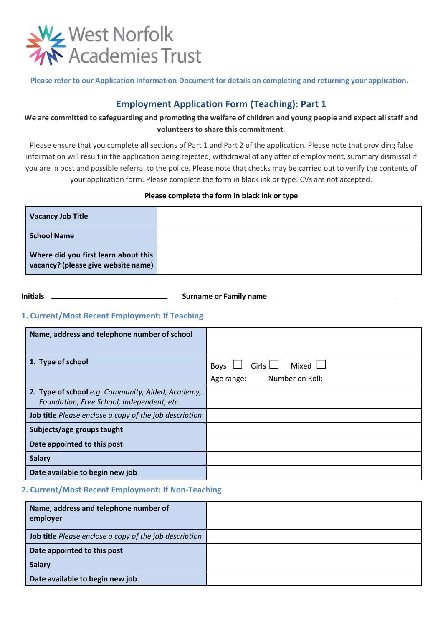

**Please refer to our Application Information Document for details on completing and returning your application.**

# **Employment Application Form (Teaching): Part 1**

# **We are committed to safeguarding and promoting the welfare of children and young people and expect all staff and volunteers to share this commitment.**

Please ensure that you complete **all** sections of Part 1 and Part 2 of the application. Please note that providing false information will result in the application being rejected, withdrawal of any offer of employment, summary dismissal if you are in post and possible referral to the police. Please note that checks may be carried out to verify the contents of your application form. Please complete the form in black ink or type. CVs are not accepted.

**Please complete the form in black ink or type**

| <b>Vacancy Job Title</b>                                                    |  |
|-----------------------------------------------------------------------------|--|
| <b>School Name</b>                                                          |  |
| Where did you first learn about this<br>vacancy? (please give website name) |  |

**Initials Surname or Family name** 

# **1. Current/Most Recent Employment: If Teaching**

| Name, address and telephone number of school                                                    |                                      |
|-------------------------------------------------------------------------------------------------|--------------------------------------|
|                                                                                                 |                                      |
| 1. Type of school                                                                               | Girls $\Box$<br>Mixed $\Box$<br>Boys |
|                                                                                                 | Number on Roll:<br>Age range:        |
| 2. Type of school e.g. Community, Aided, Academy,<br>Foundation, Free School, Independent, etc. |                                      |
| <b>Job title</b> Please enclose a copy of the job description                                   |                                      |
| Subjects/age groups taught                                                                      |                                      |
| Date appointed to this post                                                                     |                                      |
| <b>Salary</b>                                                                                   |                                      |
| Date available to begin new job                                                                 |                                      |

## **2. Current/Most Recent Employment: If Non-Teaching**

| Name, address and telephone number of<br>employer      |  |
|--------------------------------------------------------|--|
| Job title Please enclose a copy of the job description |  |
| Date appointed to this post                            |  |
| <b>Salary</b>                                          |  |
| Date available to begin new job                        |  |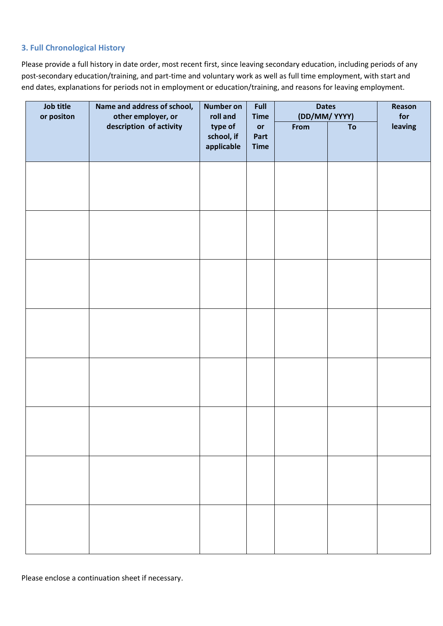## **3. Full Chronological History**

Please provide a full history in date order, most recent first, since leaving secondary education, including periods of any post-secondary education/training, and part-time and voluntary work as well as full time employment, with start and end dates, explanations for periods not in employment or education/training, and reasons for leaving employment.

| Job title<br>or positon | Name and address of school,<br><b>Number on</b><br>other employer, or<br>roll and |                                     | Full<br><b>Time</b>       | <b>Dates</b><br>(DD/MM/YYYY) | Reason<br>for |         |
|-------------------------|-----------------------------------------------------------------------------------|-------------------------------------|---------------------------|------------------------------|---------------|---------|
|                         | description of activity                                                           | type of<br>school, if<br>applicable | or<br>Part<br><b>Time</b> | From                         | To            | leaving |
|                         |                                                                                   |                                     |                           |                              |               |         |
|                         |                                                                                   |                                     |                           |                              |               |         |
|                         |                                                                                   |                                     |                           |                              |               |         |
|                         |                                                                                   |                                     |                           |                              |               |         |
|                         |                                                                                   |                                     |                           |                              |               |         |
|                         |                                                                                   |                                     |                           |                              |               |         |
|                         |                                                                                   |                                     |                           |                              |               |         |
|                         |                                                                                   |                                     |                           |                              |               |         |

Please enclose a continuation sheet if necessary.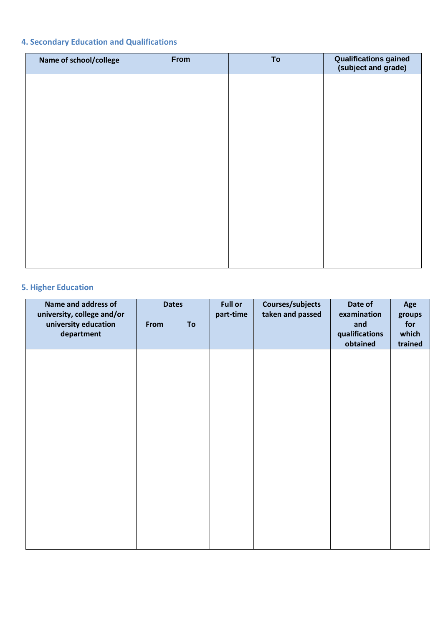# **4. Secondary Education and Qualifications**

| Name of school/college | From | To | <b>Qualifications gained</b><br>(subject and grade) |
|------------------------|------|----|-----------------------------------------------------|
|                        |      |    |                                                     |
|                        |      |    |                                                     |
|                        |      |    |                                                     |
|                        |      |    |                                                     |
|                        |      |    |                                                     |
|                        |      |    |                                                     |
|                        |      |    |                                                     |
|                        |      |    |                                                     |
|                        |      |    |                                                     |

# **5. Higher Education**

| Name and address of<br>university, college and/or | <b>Dates</b> |    | <b>Full or</b><br>part-time | Courses/subjects<br>taken and passed | Date of<br>examination            | Age<br>groups           |  |
|---------------------------------------------------|--------------|----|-----------------------------|--------------------------------------|-----------------------------------|-------------------------|--|
| university education<br>department                | From         | To |                             |                                      | and<br>qualifications<br>obtained | for<br>which<br>trained |  |
|                                                   |              |    |                             |                                      |                                   |                         |  |
|                                                   |              |    |                             |                                      |                                   |                         |  |
|                                                   |              |    |                             |                                      |                                   |                         |  |
|                                                   |              |    |                             |                                      |                                   |                         |  |
|                                                   |              |    |                             |                                      |                                   |                         |  |
|                                                   |              |    |                             |                                      |                                   |                         |  |
|                                                   |              |    |                             |                                      |                                   |                         |  |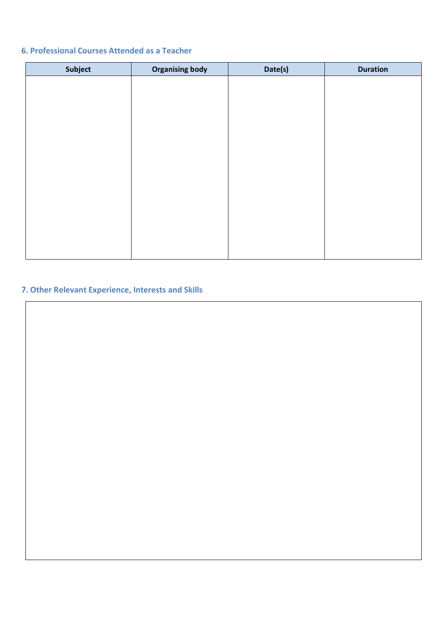# **6. Professional Courses Attended as a Teacher**

| Subject | <b>Organising body</b> | Date(s) | <b>Duration</b> |
|---------|------------------------|---------|-----------------|
|         |                        |         |                 |
|         |                        |         |                 |
|         |                        |         |                 |
|         |                        |         |                 |
|         |                        |         |                 |
|         |                        |         |                 |
|         |                        |         |                 |
|         |                        |         |                 |
|         |                        |         |                 |
|         |                        |         |                 |
|         |                        |         |                 |
|         |                        |         |                 |
|         |                        |         |                 |

# **7. Other Relevant Experience, Interests and Skills**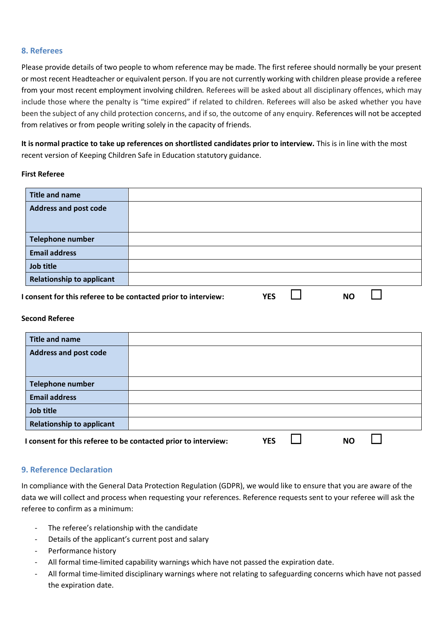### **8. Referees**

Please provide details of two people to whom reference may be made. The first referee should normally be your present or most recent Headteacher or equivalent person. If you are not currently working with children please provide a referee from your most recent employment involving children. Referees will be asked about all disciplinary offences, which may include those where the penalty is "time expired" if related to children. Referees will also be asked whether you have been the subject of any child protection concerns, and if so, the outcome of any enquiry. References will not be accepted from relatives or from people writing solely in the capacity of friends.

**It is normal practice to take up references on shortlisted candidates prior to interview.** This is in line with the most recent version of Keeping Children Safe in Education statutory guidance.

### **First Referee**

| <b>Title and name</b>                                          |  |     |    |  |
|----------------------------------------------------------------|--|-----|----|--|
| <b>Address and post code</b>                                   |  |     |    |  |
|                                                                |  |     |    |  |
|                                                                |  |     |    |  |
| <b>Telephone number</b>                                        |  |     |    |  |
| <b>Email address</b>                                           |  |     |    |  |
| Job title                                                      |  |     |    |  |
| <b>Relationship to applicant</b>                               |  |     |    |  |
| I consent for this referee to be contacted prior to interview: |  | YES | NO |  |

#### **Second Referee**

| <b>Title and name</b>                                          |  |     |    |  |
|----------------------------------------------------------------|--|-----|----|--|
| <b>Address and post code</b>                                   |  |     |    |  |
|                                                                |  |     |    |  |
| <b>Telephone number</b>                                        |  |     |    |  |
| <b>Email address</b>                                           |  |     |    |  |
| Job title                                                      |  |     |    |  |
| <b>Relationship to applicant</b>                               |  |     |    |  |
| I consent for this referee to be contacted prior to interview: |  | YES | NO |  |

### **9. Reference Declaration**

In compliance with the General Data Protection Regulation (GDPR), we would like to ensure that you are aware of the data we will collect and process when requesting your references. Reference requests sent to your referee will ask the referee to confirm as a minimum:

- The referee's relationship with the candidate
- Details of the applicant's current post and salary
- Performance history
- All formal time-limited capability warnings which have not passed the expiration date.
- All formal time-limited disciplinary warnings where not relating to safeguarding concerns which have not passed the expiration date.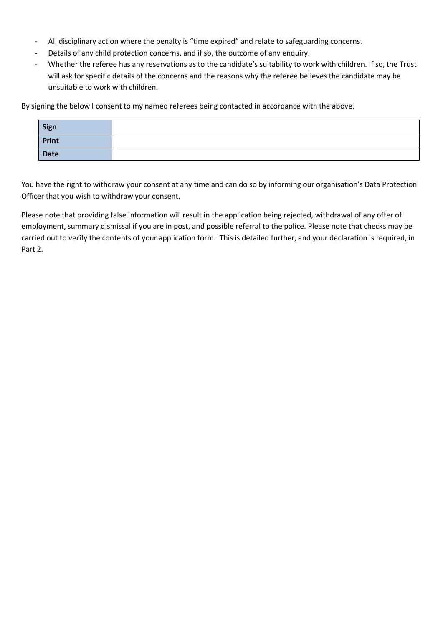- All disciplinary action where the penalty is "time expired" and relate to safeguarding concerns.
- Details of any child protection concerns, and if so, the outcome of any enquiry.
- Whether the referee has any reservations as to the candidate's suitability to work with children. If so, the Trust will ask for specific details of the concerns and the reasons why the referee believes the candidate may be unsuitable to work with children.

By signing the below I consent to my named referees being contacted in accordance with the above.

| Sign  |  |
|-------|--|
| Print |  |
| Date  |  |

You have the right to withdraw your consent at any time and can do so by informing our organisation's Data Protection Officer that you wish to withdraw your consent.

Please note that providing false information will result in the application being rejected, withdrawal of any offer of employment, summary dismissal if you are in post, and possible referral to the police. Please note that checks may be carried out to verify the contents of your application form. This is detailed further, and your declaration is required, in Part 2.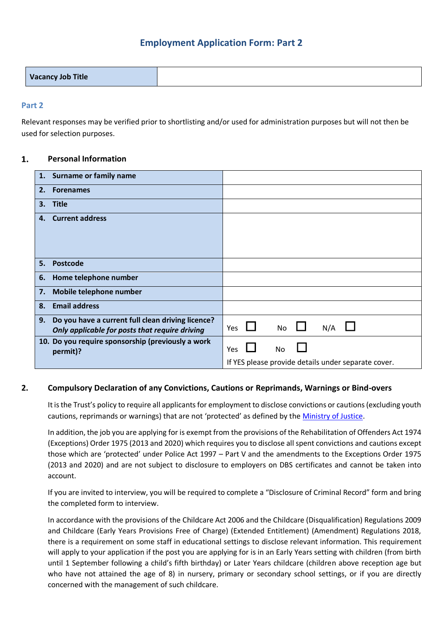# **Employment Application Form: Part 2**

## **Part 2**

Relevant responses may be verified prior to shortlisting and/or used for administration purposes but will not then be used for selection purposes.

#### $1.$ **Personal Information**

|    | 1. Surname or family name                                                                           |     |  |     |     |                                                     |  |
|----|-----------------------------------------------------------------------------------------------------|-----|--|-----|-----|-----------------------------------------------------|--|
| 2. | <b>Forenames</b>                                                                                    |     |  |     |     |                                                     |  |
| 3. | <b>Title</b>                                                                                        |     |  |     |     |                                                     |  |
| 4. | <b>Current address</b>                                                                              |     |  |     |     |                                                     |  |
|    |                                                                                                     |     |  |     |     |                                                     |  |
| 5. | <b>Postcode</b>                                                                                     |     |  |     |     |                                                     |  |
| 6. | Home telephone number                                                                               |     |  |     |     |                                                     |  |
| 7. | Mobile telephone number                                                                             |     |  |     |     |                                                     |  |
| 8. | <b>Email address</b>                                                                                |     |  |     |     |                                                     |  |
| 9. | Do you have a current full clean driving licence?<br>Only applicable for posts that require driving | Yes |  | No  | N/A |                                                     |  |
|    | 10. Do you require sponsorship (previously a work<br>permit)?                                       | Yes |  | No. |     |                                                     |  |
|    |                                                                                                     |     |  |     |     | If YES please provide details under separate cover. |  |

## **2. Compulsory Declaration of any Convictions, Cautions or Reprimands, Warnings or Bind-overs**

It is the Trust's policy to require all applicants for employment to disclose convictions or cautions (excluding youth cautions, reprimands or warnings) that are not 'protected' as defined by the [Ministry of Justice.](https://www.gov.uk/government/publications/new-guidance-on-the-rehabilitation-of-offenders-act-1974.)

In addition, the job you are applying for is exempt from the provisions of the Rehabilitation of Offenders Act 1974 (Exceptions) Order 1975 (2013 and 2020) which requires you to disclose all spent convictions and cautions except those which are 'protected' under Police Act 1997 – Part V and the amendments to the Exceptions Order 1975 (2013 and 2020) and are not subject to disclosure to employers on DBS certificates and cannot be taken into account.

If you are invited to interview, you will be required to complete a "Disclosure of Criminal Record" form and bring the completed form to interview.

In accordance with the provisions of the Childcare Act 2006 and the Childcare (Disqualification) Regulations 2009 and Childcare (Early Years Provisions Free of Charge) (Extended Entitlement) (Amendment) Regulations 2018, there is a requirement on some staff in educational settings to disclose relevant information. This requirement will apply to your application if the post you are applying for is in an Early Years setting with children (from birth until 1 September following a child's fifth birthday) or Later Years childcare (children above reception age but who have not attained the age of 8) in nursery, primary or secondary school settings, or if you are directly concerned with the management of such childcare.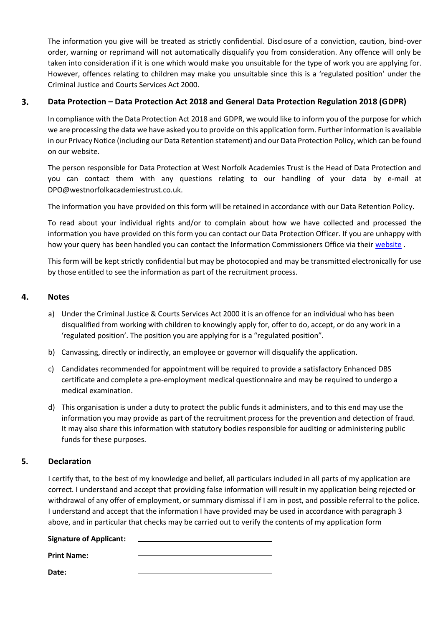The information you give will be treated as strictly confidential. Disclosure of a conviction, caution, bind-over order, warning or reprimand will not automatically disqualify you from consideration. Any offence will only be taken into consideration if it is one which would make you unsuitable for the type of work you are applying for. However, offences relating to children may make you unsuitable since this is a 'regulated position' under the Criminal Justice and Courts Services Act 2000.

#### 3. **Data Protection – Data Protection Act 2018 and General Data Protection Regulation 2018 (GDPR)**

In compliance with the Data Protection Act 2018 and GDPR, we would like to inform you of the purpose for which we are processing the data we have asked you to provide on this application form. Further information is available in our Privacy Notice (including our Data Retention statement) and our Data Protection Policy, which can be found on our website.

The person responsible for Data Protection at West Norfolk Academies Trust is the Head of Data Protection and you can contact them with any questions relating to our handling of your data by e-mail at DPO@westnorfolkacademiestrust.co.uk.

The information you have provided on this form will be retained in accordance with our Data Retention Policy.

To read about your individual rights and/or to complain about how we have collected and processed the information you have provided on this form you can contact our Data Protection Officer. If you are unhappy with how your query has been handled you can contact the Information Commissioners Office via their [website](https://ico.org.uk/) .

This form will be kept strictly confidential but may be photocopied and may be transmitted electronically for use by those entitled to see the information as part of the recruitment process.

#### 4. **Notes**

- a) Under the Criminal Justice & Courts Services Act 2000 it is an offence for an individual who has been disqualified from working with children to knowingly apply for, offer to do, accept, or do any work in a 'regulated position'. The position you are applying for is a "regulated position".
- b) Canvassing, directly or indirectly, an employee or governor will disqualify the application.
- c) Candidates recommended for appointment will be required to provide a satisfactory Enhanced DBS certificate and complete a pre-employment medical questionnaire and may be required to undergo a medical examination.
- d) This organisation is under a duty to protect the public funds it administers, and to this end may use the information you may provide as part of the recruitment process for the prevention and detection of fraud. It may also share this information with statutory bodies responsible for auditing or administering public funds for these purposes.

## **5. Declaration**

I certify that, to the best of my knowledge and belief, all particulars included in all parts of my application are correct. I understand and accept that providing false information will result in my application being rejected or withdrawal of any offer of employment, or summary dismissal if I am in post, and possible referral to the police. I understand and accept that the information I have provided may be used in accordance with paragraph 3 above, and in particular that checks may be carried out to verify the contents of my application form

### **Signature of Applicant:**

**Print Name:** 

**Date:**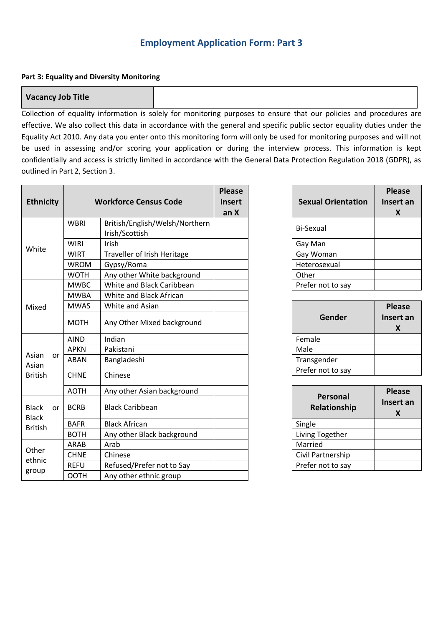# **Part 3: Equality and Diversity Monitoring**

## **Vacancy Job Title**

Collection of equality information is solely for monitoring purposes to ensure that our policies and procedures are effective. We also collect this data in accordance with the general and specific public sector equality duties under the Equality Act 2010. Any data you enter onto this monitoring form will only be used for monitoring purposes and will not be used in assessing and/or scoring your application or during the interview process. This information is kept confidentially and access is strictly limited in accordance with the General Data Protection Regulation 2018 (GDPR), as outlined in Part 2, Section 3.

| <b>Ethnicity</b>                               |           |             | <b>Workforce Census Code</b>                     | <b>Please</b><br><b>Insert</b><br>an X | <b>Sexual Orienta</b>   |
|------------------------------------------------|-----------|-------------|--------------------------------------------------|----------------------------------------|-------------------------|
|                                                |           | <b>WBRI</b> | British/English/Welsh/Northern<br>Irish/Scottish |                                        | <b>Bi-Sexual</b>        |
| White                                          |           | <b>WIRI</b> | Irish                                            |                                        | Gay Man                 |
|                                                |           | <b>WIRT</b> | Traveller of Irish Heritage                      |                                        | Gay Woman               |
|                                                |           | <b>WROM</b> | Gypsy/Roma                                       |                                        | Heterosexual            |
|                                                |           | <b>WOTH</b> | Any other White background                       |                                        | Other                   |
|                                                |           | <b>MWBC</b> | White and Black Caribbean                        |                                        | Prefer not to say       |
|                                                |           | <b>MWBA</b> | White and Black African                          |                                        |                         |
| Mixed                                          |           | <b>MWAS</b> | White and Asian                                  |                                        |                         |
|                                                |           | <b>MOTH</b> | Any Other Mixed background                       |                                        | Gender                  |
|                                                |           | <b>AIND</b> | Indian                                           |                                        | Female                  |
|                                                |           | <b>APKN</b> | Pakistani                                        |                                        | Male                    |
| Asian                                          | <b>or</b> | ABAN        | Bangladeshi                                      |                                        | Transgender             |
| Asian<br><b>British</b>                        |           | <b>CHNE</b> | Chinese                                          |                                        | Prefer not to say       |
|                                                |           | <b>AOTH</b> | Any other Asian background                       |                                        |                         |
| <b>Black</b><br><b>Black</b><br><b>British</b> | or        | <b>BCRB</b> | <b>Black Caribbean</b>                           |                                        | Personal<br>Relationshi |
|                                                |           | <b>BAFR</b> | <b>Black African</b>                             |                                        | Single                  |
|                                                |           | <b>BOTH</b> | Any other Black background                       |                                        | Living Together         |
| Other<br>ethnic<br>group                       |           | ARAB        | Arab                                             |                                        | Married                 |
|                                                |           | <b>CHNE</b> | Chinese                                          |                                        | Civil Partnership       |
|                                                |           | <b>REFU</b> | Refused/Prefer not to Say                        |                                        | Prefer not to say       |
|                                                |           | <b>OOTH</b> | Any other ethnic group                           |                                        |                         |

| <b>Sexual Orientation</b> | <b>Please</b><br>Insert an<br>X |
|---------------------------|---------------------------------|
| Bi-Sexual                 |                                 |
| Gay Man                   |                                 |
| Gay Woman                 |                                 |
| Heterosexual              |                                 |
| Other                     |                                 |
| Prefer not to say         |                                 |

| Gender            | <b>Please</b><br>Insert an<br>X |
|-------------------|---------------------------------|
| Female            |                                 |
| Male              |                                 |
| Transgender       |                                 |
| Prefer not to say |                                 |

| Personal<br>Relationship | <b>Please</b><br>Insert an<br>X |
|--------------------------|---------------------------------|
| Single                   |                                 |
| Living Together          |                                 |
| Married                  |                                 |
| Civil Partnership        |                                 |
| Prefer not to say        |                                 |